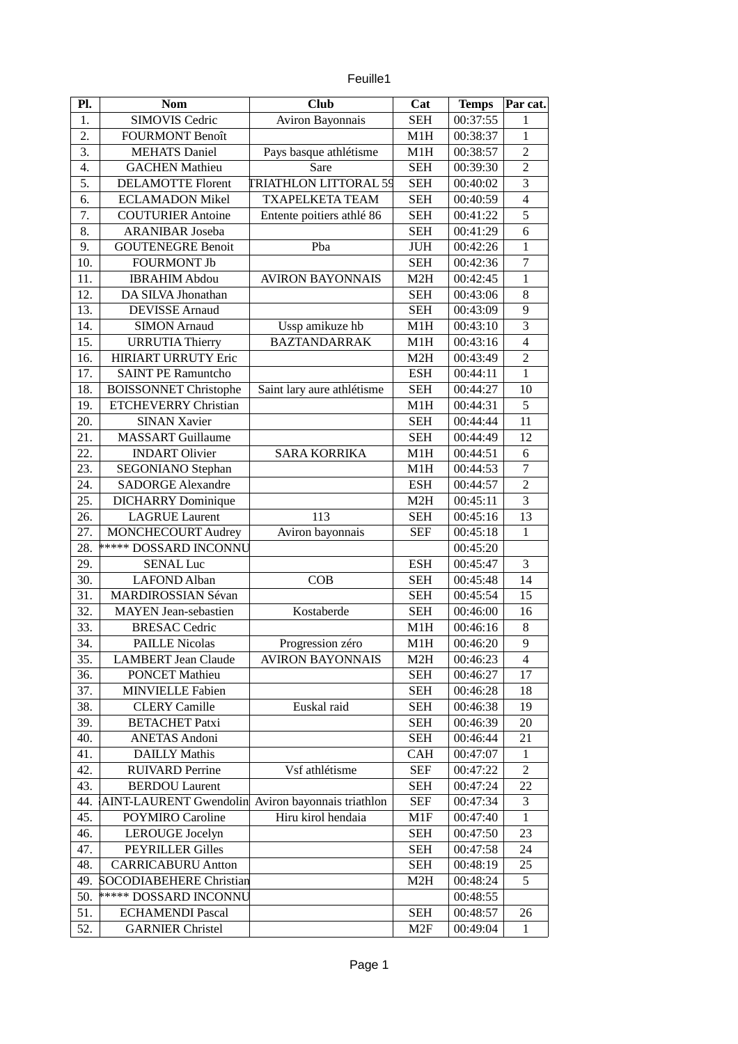| euille |  |
|--------|--|
|        |  |

| Pl. | <b>Nom</b>                     | <b>Club</b>                  | Cat              | <b>Temps</b> | Par cat.                |
|-----|--------------------------------|------------------------------|------------------|--------------|-------------------------|
| 1.  | <b>SIMOVIS Cedric</b>          | Aviron Bayonnais             | <b>SEH</b>       | 00:37:55     | $\mathbf{1}$            |
| 2.  | <b>FOURMONT Benoît</b>         |                              | M1H              | 00:38:37     | $\overline{1}$          |
| 3.  | <b>MEHATS Daniel</b>           | Pays basque athlétisme       | M1H              | 00:38:57     | $\overline{a}$          |
| 4.  | <b>GACHEN Mathieu</b>          | Sare                         | <b>SEH</b>       | 00:39:30     | $\overline{2}$          |
| 5.  | <b>DELAMOTTE Florent</b>       | <b>TRIATHLON LITTORAL 59</b> | <b>SEH</b>       | 00:40:02     | $\overline{3}$          |
| 6.  | <b>ECLAMADON Mikel</b>         | <b>TXAPELKETA TEAM</b>       | <b>SEH</b>       | 00:40:59     | $\overline{\mathbf{4}}$ |
| 7.  | <b>COUTURIER Antoine</b>       | Entente poitiers athlé 86    | <b>SEH</b>       | 00:41:22     | 5                       |
| 8.  | <b>ARANIBAR Joseba</b>         |                              | <b>SEH</b>       | 00:41:29     | $\overline{6}$          |
| 9.  | <b>GOUTENEGRE Benoit</b>       | Pba                          | JUH              | 00:42:26     | $\overline{1}$          |
| 10. | <b>FOURMONT Jb</b>             |                              | <b>SEH</b>       | 00:42:36     | $\overline{7}$          |
| 11. | <b>IBRAHIM Abdou</b>           | <b>AVIRON BAYONNAIS</b>      | M2H              | 00:42:45     | $1\,$                   |
| 12. | DA SILVA Jhonathan             |                              | <b>SEH</b>       | 00:43:06     | 8                       |
| 13. | <b>DEVISSE</b> Arnaud          |                              | <b>SEH</b>       | 00:43:09     | 9                       |
| 14. | <b>SIMON Arnaud</b>            | Ussp amikuze hb              | M1H              | 00:43:10     | $\overline{3}$          |
| 15. | <b>URRUTIA Thierry</b>         | <b>BAZTANDARRAK</b>          | M1H              | 00:43:16     | $\overline{\mathbf{4}}$ |
| 16. | <b>HIRIART URRUTY Eric</b>     |                              | M <sub>2</sub> H | 00:43:49     | $\overline{2}$          |
| 17. | <b>SAINT PE Ramuntcho</b>      |                              | <b>ESH</b>       | 00:44:11     | $\mathbf{1}$            |
| 18. | <b>BOISSONNET Christophe</b>   | Saint lary aure athlétisme   | <b>SEH</b>       | 00:44:27     | 10                      |
| 19. | <b>ETCHEVERRY Christian</b>    |                              | M1H              | 00:44:31     | 5                       |
| 20. | <b>SINAN Xavier</b>            |                              | <b>SEH</b>       | 00:44:44     | 11                      |
| 21. | <b>MASSART</b> Guillaume       |                              | <b>SEH</b>       | 00:44:49     | 12                      |
| 22. | <b>INDART Olivier</b>          | <b>SARA KORRIKA</b>          | M1H              | 00:44:51     | 6                       |
| 23. | <b>SEGONIANO Stephan</b>       |                              | M1H              | 00:44:53     | $\overline{7}$          |
| 24. | <b>SADORGE Alexandre</b>       |                              | <b>ESH</b>       | 00:44:57     | $\overline{2}$          |
| 25. | <b>DICHARRY Dominique</b>      |                              | M2H              | 00:45:11     | $\overline{3}$          |
| 26. | <b>LAGRUE Laurent</b>          | 113                          | <b>SEH</b>       | 00:45:16     | 13                      |
| 27. | <b>MONCHECOURT Audrey</b>      | Aviron bayonnais             | <b>SEF</b>       | 00:45:18     | $\mathbf{1}$            |
| 28. | <b>***** DOSSARD INCONNU</b>   |                              |                  | 00:45:20     |                         |
| 29. | <b>SENAL Luc</b>               |                              | <b>ESH</b>       | 00:45:47     | $\overline{3}$          |
| 30. | <b>LAFOND Alban</b>            | COB                          | <b>SEH</b>       | 00:45:48     | 14                      |
| 31. | <b>MARDIROSSIAN Sévan</b>      |                              | <b>SEH</b>       | 00:45:54     | 15                      |
| 32. | <b>MAYEN</b> Jean-sebastien    | Kostaberde                   | <b>SEH</b>       | 00:46:00     | 16                      |
| 33. | <b>BRESAC Cedric</b>           |                              | M1H              | 00:46:16     | $\, 8$                  |
| 34. | <b>PAILLE Nicolas</b>          | Progression zéro             | M1H              | 00:46:20     | 9                       |
| 35. | <b>LAMBERT Jean Claude</b>     | <b>AVIRON BAYONNAIS</b>      | M <sub>2</sub> H | 00:46:23     | 4                       |
| 36. | <b>PONCET Mathieu</b>          |                              | <b>SEH</b>       | 00:46:27     | 17                      |
| 37. | <b>MINVIELLE Fabien</b>        |                              | <b>SEH</b>       | 00:46:28     | 18                      |
| 38. | <b>CLERY Camille</b>           | Euskal raid                  | <b>SEH</b>       | 00:46:38     | 19                      |
| 39. | <b>BETACHET Patxi</b>          |                              | SEH              | 00:46:39     | 20                      |
| 40. | <b>ANETAS Andoni</b>           |                              | <b>SEH</b>       | 00:46:44     | 21                      |
| 41. | <b>DAILLY Mathis</b>           |                              | CAH              | 00:47:07     | $\mathbf{1}$            |
| 42. | <b>RUIVARD Perrine</b>         | Vsf athlétisme               | <b>SEF</b>       | 00:47:22     | 2                       |
| 43. | <b>BERDOU</b> Laurent          |                              | <b>SEH</b>       | 00:47:24     | 22                      |
| 44. | <b>AINT-LAURENT Gwendolin</b>  | Aviron bayonnais triathlon   | <b>SEF</b>       | 00:47:34     | 3                       |
| 45. | POYMIRO Caroline               | Hiru kirol hendaia           | M1F              | 00:47:40     | $\mathbf{1}$            |
| 46. | <b>LEROUGE Jocelyn</b>         |                              | <b>SEH</b>       | 00:47:50     | 23                      |
| 47. | <b>PEYRILLER Gilles</b>        |                              | <b>SEH</b>       | 00:47:58     | 24                      |
| 48. | <b>CARRICABURU Antton</b>      |                              | <b>SEH</b>       | 00:48:19     | 25                      |
| 49. | <b>SOCODIABEHERE Christian</b> |                              | M2H              | 00:48:24     | 5                       |
| 50. | ***** DOSSARD INCONNU          |                              |                  | 00:48:55     |                         |
| 51. | <b>ECHAMENDI Pascal</b>        |                              | <b>SEH</b>       | 00:48:57     | 26                      |
| 52. | <b>GARNIER Christel</b>        |                              | M2F              | 00:49:04     | $\mathbf{1}$            |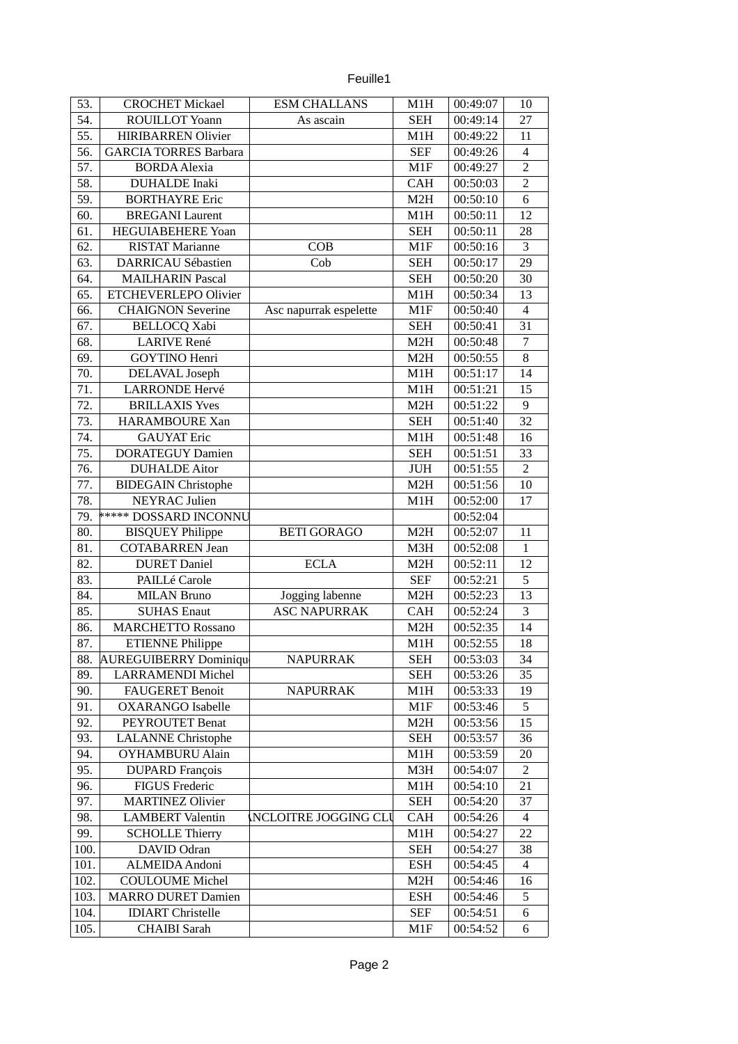53. CROCHET Mickael ESM CHALLANS M1H 00:49:07 10 54. ROUILLOT Yoann As ascain SEH 00:49:14 27 55. HIRIBARREN Olivier M1H 00:49:22 11 56. GARCIA TORRES Barbara SEF 00:49:26 4 57. BORDA Alexia M1F 00:49:27 2 58. DUHALDE Inaki  $\vert$  CAH  $\vert$  00:50:03 2 59. BORTHAYRE Eric 1980 1991 1992 1994 100:50:10 6 60. BREGANI Laurent M1H 00:50:11 12 61. HEGUIABEHERE Yoan SEH 00:50:11 28 62. RISTAT Marianne COB M1F 00:50:16 3 63. DARRICAU Sébastien Cob SEH 00:50:17 29 64. MAILHARIN Pascal SEH 00:50:20 30 65. ETCHEVERLEPO Olivier M1H 00:50:34 13 66. CHAIGNON Severine Asc napurrak espelette M1F 00:50:40 4 67. BELLOCQ Xabi SEH 00:50:41 31 68. LARIVE René  $\vert$  M2H 00:50:48 7 69. GOYTINO Henri 1989. Ann ann an t-India ann an t-India ann an t-India ann an t-India ann an t-India ann an 70. DELAVAL Joseph M1H 00:51:17 14 71. LARRONDE Hervé  $M1H$  00:51:21 15 72. BRILLAXIS Yves  $\vert$  M2H  $\vert$  00:51:22 9 73. | HARAMBOURE Xan | SEH | 00:51:40 | 32 74. GAUYAT Eric M1H 00:51:48 16 75. DORATEGUY Damien | SEH 00:51:51 33 76. DUHALDE Aitor JUH 00:51:55 2 77. BIDEGAIN Christophe M2H 00:51:56 10 78. NEYRAC Julien M1H 00:52:00 17 79. \*\*\*\*\* DOSSARD INCONNU 00:52:04 80. BISQUEY Philippe BETI GORAGO M2H 00:52:07 11 81. COTABARREN Jean M3H 00:52:08 1 82. DURET Daniel | ECLA | M2H | 00:52:11 | 12 83. PAILLé Carole SEF 00:52:21 5 84. MILAN Bruno Jogging labenne M2H 00:52:23 13 85. SUHAS Enaut ASC NAPURRAK CAH 00:52:24 3 86. MARCHETTO Rossano M2H 00:52:35 14 87. ETIENNE Philippe 1 M1H 00:52:55 18 88. AUREGUIBERRY Dominique NAPURRAK SEH 00:53:03 34 89. LARRAMENDI Michel SEH 00:53:26 35 90. FAUGERET Benoit NAPURRAK M1H 00:53:33 19 91. OXARANGO Isabelle 1988 1991. 1991. 1992. 1993.46 5 92. PEYROUTET Benat | M2H 00:53:56 15 93. LALANNE Christophe | SEH 00:53:57 36 94. OYHAMBURU Alain M1H 00:53:59 20 95. DUPARD François 1 M3H 00:54:07 2 96. FIGUS Frederic M1H 00:54:10 21 97. MARTINEZ Olivier New SEH 00:54:20 37 98. LAMBERT Valentin NCLOITRE JOGGING CLU CAH 00:54:26 4 99. SCHOLLE Thierry M1H 00:54:27 22 100. DAVID Odran SEH 00:54:27 38 101. ALMEIDA Andoni ESH 00:54:45 4 102. COULOUME Michel M2H 00:54:46 16 103. MARRO DURET Damien ESH 00:54:46 5 104. **IDIART Christelle** SEF 00:54:51 6 105. CHAIBI Sarah M1F 00:54:52 6

Feuille1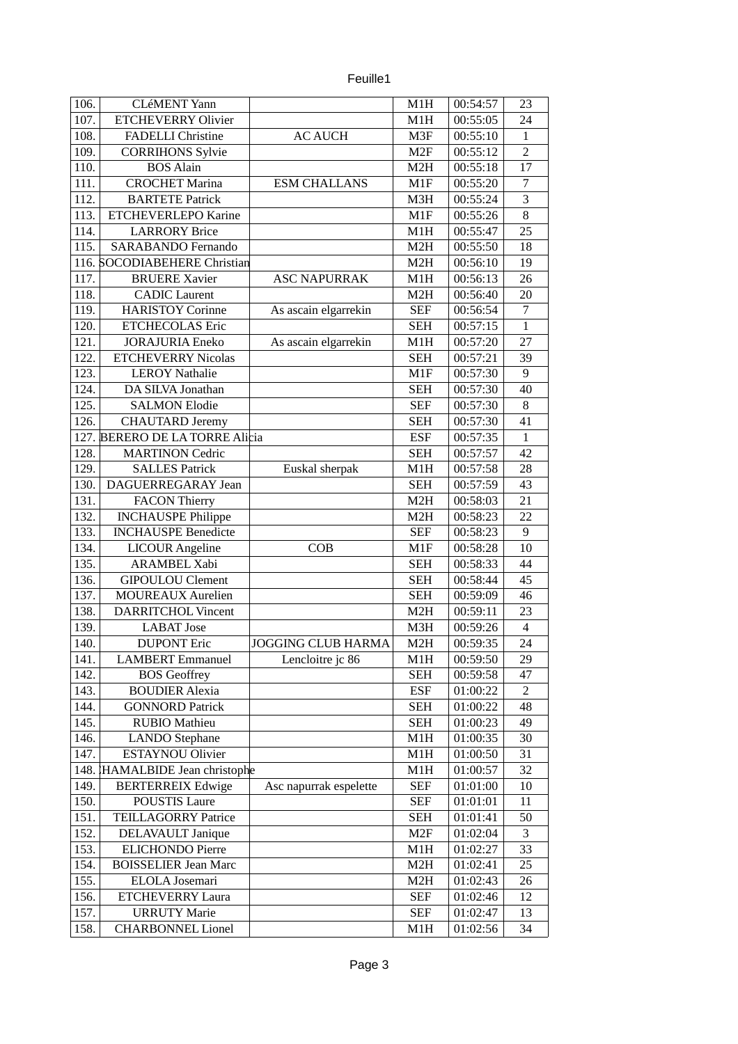|  | euille. |
|--|---------|
|  |         |

| 106. | <b>CLéMENT Yann</b>            |                           | M1H              | 00:54:57 | 23                      |
|------|--------------------------------|---------------------------|------------------|----------|-------------------------|
| 107. | <b>ETCHEVERRY Olivier</b>      |                           | M1H              | 00:55:05 | 24                      |
| 108. | <b>FADELLI Christine</b>       | <b>AC AUCH</b>            | M3F              | 00:55:10 | $\mathbf{1}$            |
| 109. | <b>CORRIHONS Sylvie</b>        |                           | M2F              | 00:55:12 | $\overline{2}$          |
| 110. | <b>BOS Alain</b>               |                           | M2H              | 00:55:18 | 17                      |
| 111. | <b>CROCHET Marina</b>          | <b>ESM CHALLANS</b>       | M1F              | 00:55:20 | 7                       |
| 112. | <b>BARTETE Patrick</b>         |                           | M3H              | 00:55:24 | 3                       |
| 113. | <b>ETCHEVERLEPO Karine</b>     |                           | M1F              | 00:55:26 | $\, 8$                  |
| 114. | <b>LARRORY Brice</b>           |                           | M1H              | 00:55:47 | 25                      |
| 115. | <b>SARABANDO Fernando</b>      |                           | M2H              | 00:55:50 | 18                      |
|      | 116. SOCODIABEHERE Christian   |                           | M2H              | 00:56:10 | 19                      |
| 117. | <b>BRUERE Xavier</b>           | <b>ASC NAPURRAK</b>       | M1H              | 00:56:13 | 26                      |
| 118. | <b>CADIC</b> Laurent           |                           | M2H              | 00:56:40 | 20                      |
| 119. | <b>HARISTOY Corinne</b>        | As ascain elgarrekin      | <b>SEF</b>       | 00:56:54 | $\overline{7}$          |
| 120. | <b>ETCHECOLAS Eric</b>         |                           | <b>SEH</b>       | 00:57:15 | $\mathbf{1}$            |
| 121. | <b>JORAJURIA Eneko</b>         | As ascain elgarrekin      | M1H              | 00:57:20 | 27                      |
| 122. | <b>ETCHEVERRY Nicolas</b>      |                           | <b>SEH</b>       | 00:57:21 | 39                      |
| 123. | <b>LEROY Nathalie</b>          |                           | M1F              | 00:57:30 | 9                       |
| 124. | DA SILVA Jonathan              |                           | SEH              | 00:57:30 | 40                      |
| 125. | <b>SALMON Elodie</b>           |                           | <b>SEF</b>       | 00:57:30 | $\, 8$                  |
| 126. | <b>CHAUTARD Jeremy</b>         |                           | SEH              | 00:57:30 | 41                      |
|      | 127. BERERO DE LA TORRE Alicia |                           | <b>ESF</b>       | 00:57:35 | $\mathbf{1}$            |
| 128. | <b>MARTINON Cedric</b>         |                           | <b>SEH</b>       | 00:57:57 | 42                      |
| 129. | <b>SALLES Patrick</b>          | Euskal sherpak            | M1H              | 00:57:58 | 28                      |
| 130. | DAGUERREGARAY Jean             |                           | <b>SEH</b>       | 00:57:59 | 43                      |
| 131. | <b>FACON Thierry</b>           |                           | M2H              | 00:58:03 | 21                      |
| 132. | <b>INCHAUSPE Philippe</b>      |                           | M2H              | 00:58:23 | 22                      |
| 133. | <b>INCHAUSPE Benedicte</b>     |                           | <b>SEF</b>       | 00:58:23 | $\boldsymbol{9}$        |
| 134. | <b>LICOUR Angeline</b>         | COB                       | M1F              | 00:58:28 | 10                      |
| 135. | <b>ARAMBEL Xabi</b>            |                           | <b>SEH</b>       | 00:58:33 | 44                      |
| 136. | <b>GIPOULOU Clement</b>        |                           | <b>SEH</b>       | 00:58:44 | 45                      |
| 137. | <b>MOUREAUX Aurelien</b>       |                           | <b>SEH</b>       | 00:59:09 | 46                      |
| 138. | <b>DARRITCHOL Vincent</b>      |                           | M2H              | 00:59:11 | 23                      |
| 139. | <b>LABAT</b> Jose              |                           | M3H              | 00:59:26 | $\overline{\mathbf{4}}$ |
| 140. | <b>DUPONT Eric</b>             | <b>JOGGING CLUB HARMA</b> | M <sub>2</sub> H | 00:59:35 | 24                      |
| 141. | <b>LAMBERT</b> Emmanuel        | Lencloitre jc 86          | M1H              | 00:59:50 | 29                      |
| 142. | <b>BOS Geoffrey</b>            |                           | <b>SEH</b>       | 00:59:58 | 47                      |
| 143. | <b>BOUDIER Alexia</b>          |                           | <b>ESF</b>       | 01:00:22 | 2                       |
| 144. | <b>GONNORD Patrick</b>         |                           | <b>SEH</b>       | 01:00:22 | 48                      |
| 145. | <b>RUBIO Mathieu</b>           |                           | <b>SEH</b>       | 01:00:23 | 49                      |
| 146. | <b>LANDO Stephane</b>          |                           | M1H              | 01:00:35 | 30                      |
| 147. | <b>ESTAYNOU Olivier</b>        |                           | M1H              | 01:00:50 | 31                      |
|      | 148. HAMALBIDE Jean christophe |                           | M1H              | 01:00:57 | 32                      |
| 149. | <b>BERTERREIX Edwige</b>       | Asc napurrak espelette    | <b>SEF</b>       | 01:01:00 | 10                      |
| 150. | <b>POUSTIS Laure</b>           |                           | <b>SEF</b>       | 01:01:01 | 11                      |
| 151. | <b>TEILLAGORRY Patrice</b>     |                           | <b>SEH</b>       | 01:01:41 | 50                      |
| 152. | <b>DELAVAULT Janique</b>       |                           | M2F              | 01:02:04 | 3                       |
| 153. | <b>ELICHONDO Pierre</b>        |                           | M1H              | 01:02:27 | 33                      |
| 154. | <b>BOISSELIER Jean Marc</b>    |                           | M2H              | 01:02:41 | 25                      |
| 155. | <b>ELOLA</b> Josemari          |                           | M2H              | 01:02:43 | 26                      |
| 156. | ETCHEVERRY Laura               |                           | <b>SEF</b>       | 01:02:46 | 12                      |
| 157. | <b>URRUTY Marie</b>            |                           | <b>SEF</b>       | 01:02:47 | 13                      |
| 158. | <b>CHARBONNEL Lionel</b>       |                           | M1H              | 01:02:56 | 34                      |
|      |                                |                           |                  |          |                         |